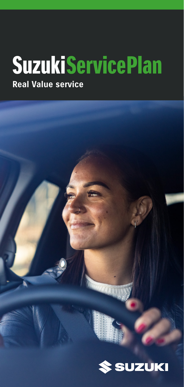## **Real Value service SuzukiServicePlan**